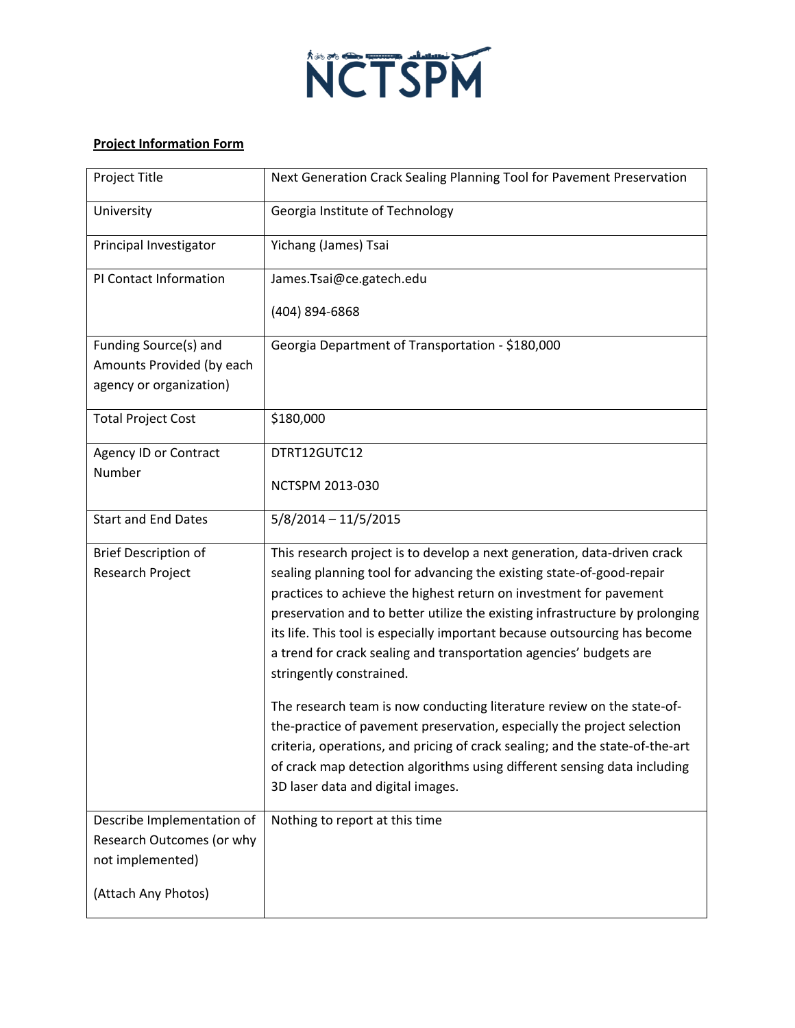

## **Project Information Form**

| Project Title                                      | Next Generation Crack Sealing Planning Tool for Pavement Preservation                                                                       |
|----------------------------------------------------|---------------------------------------------------------------------------------------------------------------------------------------------|
| University                                         | Georgia Institute of Technology                                                                                                             |
| Principal Investigator                             | Yichang (James) Tsai                                                                                                                        |
| PI Contact Information                             | James.Tsai@ce.gatech.edu                                                                                                                    |
|                                                    | (404) 894-6868                                                                                                                              |
| Funding Source(s) and<br>Amounts Provided (by each | Georgia Department of Transportation - \$180,000                                                                                            |
| agency or organization)                            |                                                                                                                                             |
| <b>Total Project Cost</b>                          | \$180,000                                                                                                                                   |
| Agency ID or Contract                              | DTRT12GUTC12                                                                                                                                |
| Number                                             | NCTSPM 2013-030                                                                                                                             |
| <b>Start and End Dates</b>                         | $5/8/2014 - 11/5/2015$                                                                                                                      |
| <b>Brief Description of</b>                        | This research project is to develop a next generation, data-driven crack                                                                    |
| Research Project                                   | sealing planning tool for advancing the existing state-of-good-repair<br>practices to achieve the highest return on investment for pavement |
|                                                    | preservation and to better utilize the existing infrastructure by prolonging                                                                |
|                                                    | its life. This tool is especially important because outsourcing has become                                                                  |
|                                                    | a trend for crack sealing and transportation agencies' budgets are<br>stringently constrained.                                              |
|                                                    | The research team is now conducting literature review on the state-of-                                                                      |
|                                                    | the-practice of pavement preservation, especially the project selection                                                                     |
|                                                    | criteria, operations, and pricing of crack sealing; and the state-of-the-art                                                                |
|                                                    | of crack map detection algorithms using different sensing data including<br>3D laser data and digital images.                               |
|                                                    |                                                                                                                                             |
| Describe Implementation of                         | Nothing to report at this time                                                                                                              |
| Research Outcomes (or why<br>not implemented)      |                                                                                                                                             |
| (Attach Any Photos)                                |                                                                                                                                             |
|                                                    |                                                                                                                                             |